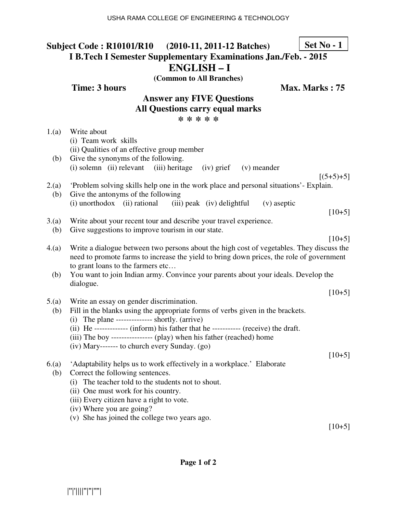## **Subject Code : R10101/R10 (2010-11, 2011-12 Batches) I B.Tech I Semester Supplementary Examinations Jan./Feb. - 2015 ENGLISH – I Set No - 1**

**(Common to All Branches)**

**Time: 3 hours Max. Marks : 75** 

#### **Answer any FIVE Questions All Questions carry equal marks \* \* \* \* \***

| 1.(a)<br>(b) | Write about<br>(i) Team work skills<br>(ii) Qualities of an effective group member<br>Give the synonyms of the following.                                                                                                                                                                                                                                                                                        |
|--------------|------------------------------------------------------------------------------------------------------------------------------------------------------------------------------------------------------------------------------------------------------------------------------------------------------------------------------------------------------------------------------------------------------------------|
|              | (i) solemn (ii) relevant (iii) heritage<br>$(iv)$ grief<br>(v) meander                                                                                                                                                                                                                                                                                                                                           |
| 2.(a)<br>(b) | $[(5+5)+5]$<br>'Problem solving skills help one in the work place and personal situations'- Explain.<br>Give the antonyms of the following<br>(i) unorthodox (ii) rational<br>(iii) peak (iv) delightful<br>(v) aseptic                                                                                                                                                                                          |
|              | $[10+5]$                                                                                                                                                                                                                                                                                                                                                                                                         |
| 3(a)         | Write about your recent tour and describe your travel experience.                                                                                                                                                                                                                                                                                                                                                |
| (b)          | Give suggestions to improve tourism in our state.<br>$[10+5]$                                                                                                                                                                                                                                                                                                                                                    |
| 4(a)<br>(b)  | Write a dialogue between two persons about the high cost of vegetables. They discuss the<br>need to promote farms to increase the yield to bring down prices, the role of government<br>to grant loans to the farmers etc<br>You want to join Indian army. Convince your parents about your ideals. Develop the                                                                                                  |
|              | dialogue.                                                                                                                                                                                                                                                                                                                                                                                                        |
|              | $[10+5]$                                                                                                                                                                                                                                                                                                                                                                                                         |
| 5(a)<br>(b)  | Write an essay on gender discrimination.<br>Fill in the blanks using the appropriate forms of verbs given in the brackets.<br>(i) The plane -------------- shortly. $(\text{arrive})$<br>(ii) He ------------- (inform) his father that he ----------- (receive) the draft.<br>(iii) The boy ---------------- (play) when his father (reached) home<br>(iv) Mary------- to church every Sunday. (go)<br>$[10+5]$ |
| 6(a)         | 'Adaptability helps us to work effectively in a workplace.' Elaborate                                                                                                                                                                                                                                                                                                                                            |
| (b)          | Correct the following sentences.                                                                                                                                                                                                                                                                                                                                                                                 |
|              | (i) The teacher told to the students not to shout.                                                                                                                                                                                                                                                                                                                                                               |
|              | (ii) One must work for his country.                                                                                                                                                                                                                                                                                                                                                                              |
|              | (iii) Every citizen have a right to vote.<br>(iv) Where you are going?                                                                                                                                                                                                                                                                                                                                           |
|              | (v) She has joined the college two years ago.                                                                                                                                                                                                                                                                                                                                                                    |
|              |                                                                                                                                                                                                                                                                                                                                                                                                                  |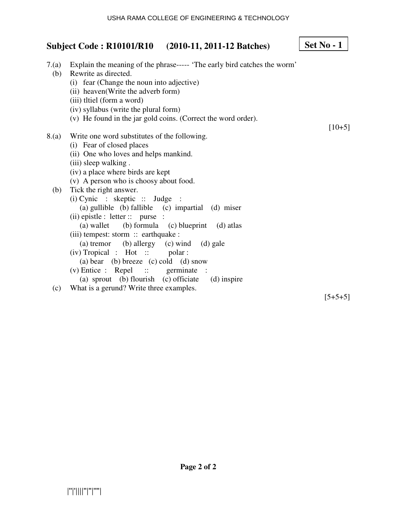**Set No - 1**

# **Subject Code : R10101/R10 (2010-11, 2011-12 Batches)**

| 7.(a)<br>(b) | Explain the meaning of the phrase----- 'The early bird catches the worm'<br>Rewrite as directed.<br>(i) fear (Change the noun into adjective)<br>(ii) heaven(Write the adverb form) |           |
|--------------|-------------------------------------------------------------------------------------------------------------------------------------------------------------------------------------|-----------|
|              | (iii) thiel (form a word)                                                                                                                                                           |           |
|              | (iv) syllabus (write the plural form)                                                                                                                                               |           |
|              | (v) He found in the jar gold coins. (Correct the word order).                                                                                                                       |           |
|              |                                                                                                                                                                                     | $[10+5]$  |
| 8.(a)        | Write one word substitutes of the following.                                                                                                                                        |           |
|              | (i) Fear of closed places                                                                                                                                                           |           |
|              | (ii) One who loves and helps mankind.                                                                                                                                               |           |
|              | (iii) sleep walking.                                                                                                                                                                |           |
|              | (iv) a place where birds are kept                                                                                                                                                   |           |
|              | (v) A person who is choosy about food.                                                                                                                                              |           |
| (b)          | Tick the right answer.                                                                                                                                                              |           |
|              | $(i)$ Cynic : skeptic :: Judge                                                                                                                                                      |           |
|              | (a) gullible (b) fallible (c) impartial (d) miser                                                                                                                                   |           |
|              | $(ii)$ epistle : letter :: purse :                                                                                                                                                  |           |
|              | (a) wallet (b) formula (c) blueprint (d) atlas                                                                                                                                      |           |
|              | (iii) tempest: storm :: earthquake :                                                                                                                                                |           |
|              | (a) tremor (b) allergy (c) wind (d) gale                                                                                                                                            |           |
|              | $(iv)$ Tropical : Hot :: polar :                                                                                                                                                    |           |
|              | (a) bear (b) breeze (c) cold (d) snow                                                                                                                                               |           |
|              | $(v)$ Entice : Repel :: germinate<br>$\mathbf{L}$                                                                                                                                   |           |
|              | (a) sprout (b) flourish (c) officiate (d) inspire                                                                                                                                   |           |
| (c)          | What is a gerund? Write three examples.                                                                                                                                             |           |
|              |                                                                                                                                                                                     | $[5+5+5]$ |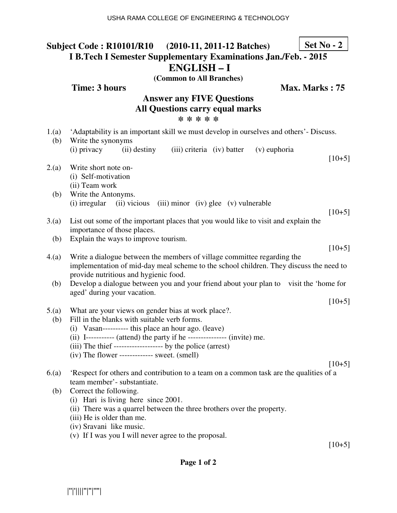## **Subject Code : R10101/R10 (2010-11, 2011-12 Batches) I B.Tech I Semester Supplementary Examinations Jan./Feb. - 2015 ENGLISH – I Set No - 2**

**(Common to All Branches)**

### **Time: 3 hours** Max. Marks : 75

#### **Answer any FIVE Questions All Questions carry equal marks \* \* \* \* \***

| 1.(a)<br>(b) | 'Adaptability is an important skill we must develop in ourselves and others'- Discuss.<br>Write the synonyms                                                                                               |          |
|--------------|------------------------------------------------------------------------------------------------------------------------------------------------------------------------------------------------------------|----------|
|              | (i) privacy<br>(ii) destiny<br>(iii) criteria (iv) batter<br>(v) euphoria                                                                                                                                  | $[10+5]$ |
| 2(a)         | Write short note on-<br>(i) Self-motivation                                                                                                                                                                |          |
| (b)          | (ii) Team work<br>Write the Antonyms.                                                                                                                                                                      |          |
|              | (i) irregular<br>(ii) vicious (iii) minor (iv) glee (v) vulnerable                                                                                                                                         | $[10+5]$ |
| 3(a)         | List out some of the important places that you would like to visit and explain the<br>importance of those places.                                                                                          |          |
| (b)          | Explain the ways to improve tourism.                                                                                                                                                                       |          |
|              |                                                                                                                                                                                                            | $[10+5]$ |
| 4(a)         | Write a dialogue between the members of village committee regarding the<br>implementation of mid-day meal scheme to the school children. They discuss the need to<br>provide nutritious and hygienic food. |          |
| (b)          | Develop a dialogue between you and your friend about your plan to visit the 'home for<br>aged' during your vacation.                                                                                       |          |
|              |                                                                                                                                                                                                            | $[10+5]$ |
| 5.(a)<br>(b) | What are your views on gender bias at work place?.<br>Fill in the blanks with suitable verb forms.                                                                                                         |          |
|              | (i) Vasan---------- this place an hour ago. (leave)                                                                                                                                                        |          |
|              | (ii) I----------- (attend) the party if he --------------- (invite) me.                                                                                                                                    |          |
|              | (iii) The thief -------------------- by the police (arrest)<br>$(iv)$ The flower ------------- sweet. $(smell)$                                                                                            |          |
|              |                                                                                                                                                                                                            | $[10+5]$ |
| 6(a)         | Respect for others and contribution to a team on a common task are the qualities of a                                                                                                                      |          |

- team member'- substantiate. (b) Correct the following.
	- (i) Hari is living here since 2001.
	- (ii) There was a quarrel between the three brothers over the property.
	- (iii) He is older than me.
	- (iv) Sravani like music.
	- (v) If I was you I will never agree to the proposal.

 $[10+5]$ 

#### **Page 1 of 2**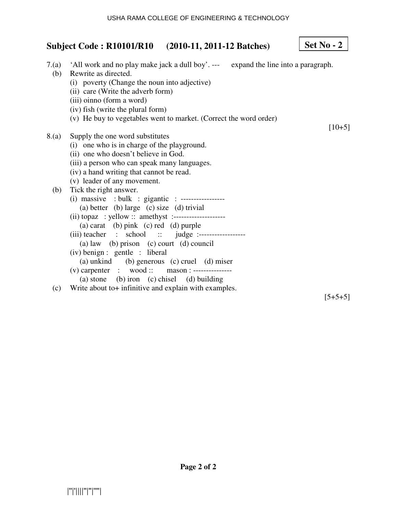**Set No - 2**

# **Subject Code : R10101/R10 (2010-11, 2011-12 Batches)**

| (b)   | 7.(a) 'All work and no play make jack a dull boy'. --- expand the line into a paragraph.<br>Rewrite as directed.<br>(i) poverty (Change the noun into adjective)<br>(ii) care (Write the adverb form)<br>(iii) oinno (form a word) |           |
|-------|------------------------------------------------------------------------------------------------------------------------------------------------------------------------------------------------------------------------------------|-----------|
|       | (iv) fish (write the plural form)                                                                                                                                                                                                  |           |
|       | (v) He buy to vegetables went to market. (Correct the word order)                                                                                                                                                                  |           |
|       |                                                                                                                                                                                                                                    | $[10+5]$  |
| 8.(a) | Supply the one word substitutes                                                                                                                                                                                                    |           |
|       | (i) one who is in charge of the playground.                                                                                                                                                                                        |           |
|       | (ii) one who doesn't believe in God.                                                                                                                                                                                               |           |
|       | (iii) a person who can speak many languages.                                                                                                                                                                                       |           |
|       | (iv) a hand writing that cannot be read.                                                                                                                                                                                           |           |
|       | (v) leader of any movement.                                                                                                                                                                                                        |           |
| (b)   | Tick the right answer.                                                                                                                                                                                                             |           |
|       | (i) massive : bulk : gigantic : -----------------                                                                                                                                                                                  |           |
|       | (a) better (b) large (c) size (d) trivial                                                                                                                                                                                          |           |
|       | (ii) topaz : yellow :: amethyst :--------------------                                                                                                                                                                              |           |
|       | (a) carat (b) pink (c) red (d) purple                                                                                                                                                                                              |           |
|       | (iii) teacher : school :: judge :------------------                                                                                                                                                                                |           |
|       | (a) law (b) prison (c) court (d) council                                                                                                                                                                                           |           |
|       | (iv) benign : gentle : liberal                                                                                                                                                                                                     |           |
|       | (a) unkind (b) generous (c) cruel (d) miser                                                                                                                                                                                        |           |
|       | (v) carpenter : wood :: mason : ----------------                                                                                                                                                                                   |           |
|       | (a) stone (b) iron (c) chisel (d) building                                                                                                                                                                                         |           |
| (c)   | Write about to+ infinitive and explain with examples.                                                                                                                                                                              |           |
|       |                                                                                                                                                                                                                                    | $[5+5+5]$ |

**Page 2 of 2**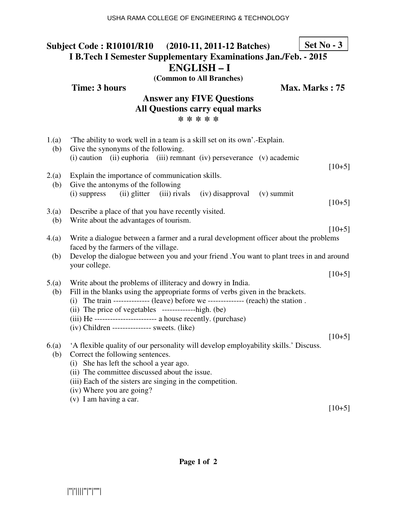#### **Subject Code : R10101/R10 (2010-11, 2011-12 Batches) I B.Tech I Semester Supplementary Examinations Jan./Feb. - 2015 ENGLISH – I (Common to All Branches) Set No - 3**

|              | <b>Time: 3 hours</b><br>Max. Marks: 75                                                                                                      |          |  |
|--------------|---------------------------------------------------------------------------------------------------------------------------------------------|----------|--|
|              | <b>Answer any FIVE Questions</b>                                                                                                            |          |  |
|              | <b>All Questions carry equal marks</b>                                                                                                      |          |  |
|              | * * * * *                                                                                                                                   |          |  |
| 1.(a)<br>(b) | The ability to work well in a team is a skill set on its own'.-Explain.<br>Give the synonyms of the following.                              |          |  |
|              | (i) caution (ii) euphoria (iii) remnant (iv) perseverance (v) academic                                                                      |          |  |
| 2.(a)<br>(b) | Explain the importance of communication skills.<br>Give the antonyms of the following                                                       | $[10+5]$ |  |
|              | (ii) glitter (iii) rivals (iv) disapproval (v) summit<br>(i) suppress                                                                       |          |  |
| 3(a)<br>(b)  | Describe a place of that you have recently visited.<br>Write about the advantages of tourism.                                               | $[10+5]$ |  |
| 4(a)         | Write a dialogue between a farmer and a rural development officer about the problems<br>faced by the farmers of the village.                | $[10+5]$ |  |
| (b)          | Develop the dialogue between you and your friend . You want to plant trees in and around<br>your college.                                   |          |  |
|              |                                                                                                                                             | $[10+5]$ |  |
| 5.(a)        | Write about the problems of illiteracy and dowry in India.                                                                                  |          |  |
| (b)          | Fill in the blanks using the appropriate forms of verbs given in the brackets.                                                              |          |  |
|              | (i) The train -------------- (leave) before we -------------- (reach) the station.<br>(ii) The price of vegetables --------------high. (be) |          |  |
|              | (iii) He ------------------------- a house recently. (purchase)                                                                             |          |  |
|              | $(iv)$ Children -------------- sweets. (like)                                                                                               |          |  |
|              |                                                                                                                                             | $[10+5]$ |  |
| 6(a)<br>(b)  | A flexible quality of our personality will develop employability skills.' Discuss.<br>Correct the following sentences.                      |          |  |
|              | (i) She has left the school a year ago.                                                                                                     |          |  |
|              | (ii) The committee discussed about the issue.                                                                                               |          |  |
|              | (iii) Each of the sisters are singing in the competition.                                                                                   |          |  |
|              | (iv) Where you are going?                                                                                                                   |          |  |

(v) I am having a car.

[10+5]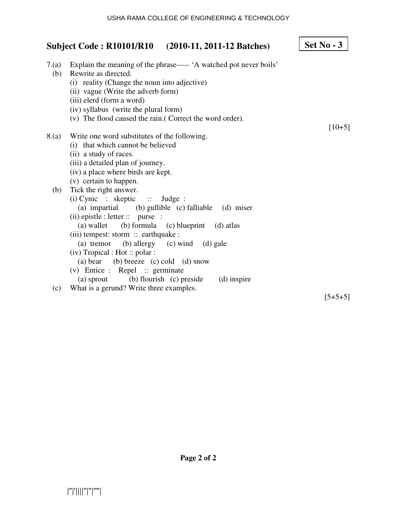r

|              | Subject Code: R10101/R10 (2010-11, 2011-12 Batches)                                                                                                                                                                                                                                                                                                                                                                                                                    | Set $No - 3$ |
|--------------|------------------------------------------------------------------------------------------------------------------------------------------------------------------------------------------------------------------------------------------------------------------------------------------------------------------------------------------------------------------------------------------------------------------------------------------------------------------------|--------------|
| 7.(a)<br>(b) | Explain the meaning of the phrase----- 'A watched pot never boils'<br>Rewrite as directed.<br>(i) reality (Change the noun into adjective)<br>(ii) vague (Write the adverb form)<br>(iii) elerd (form a word)<br>(iv) syllabus (write the plural form)<br>(v) The flood caused the rain. (Correct the word order).                                                                                                                                                     |              |
| 8.(a)        | Write one word substitutes of the following.<br>(i) that which cannot be believed<br>(ii) a study of races.<br>(iii) a detailed plan of journey.<br>(iv) a place where birds are kept.<br>(v) certain to happen.                                                                                                                                                                                                                                                       | $[10+5]$     |
| (b)          | Tick the right answer.<br>(i) Cynic : skeptic :: Judge :<br>(a) impartial (b) gullible (c) falliable (d) miser<br>$(ii)$ epistle : letter :: purse :<br>(a) wallet (b) formula (c) blueprint<br>(d) atlas<br>(iii) tempest: storm :: earthquake :<br>(b) allergy (c) wind (d) gale<br>(a) tremor<br>$(iv)$ Tropical : Hot :: polar :<br>(a) bear (b) breeze (c) cold (d) snow<br>(v) Entice : Repel :: germinate<br>(a) sprout (b) flourish (c) preside<br>(d) inspire |              |
| (c)          | What is a gerund? Write three examples.                                                                                                                                                                                                                                                                                                                                                                                                                                | $[5+5+5]$    |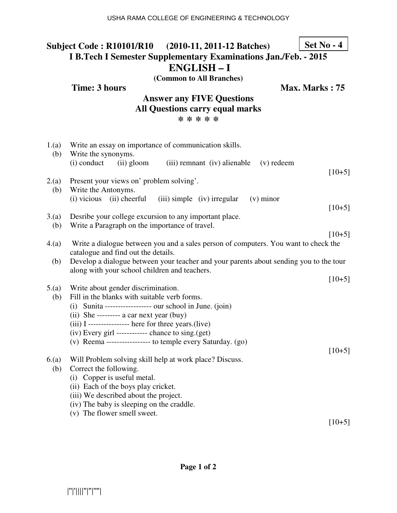## **Subject Code : R10101/R10 (2010-11, 2011-12 Batches) I B.Tech I Semester Supplementary Examinations Jan./Feb. - 2015 ENGLISH – I Set No - 4**

**(Common to All Branches)**

**Time: 3 hours Max. Marks : 75** 

#### **Answer any FIVE Questions All Questions carry equal marks \* \* \* \* \***

| 1.(a)<br>(b) | Write an essay on importance of communication skills.<br>Write the synonyms.<br>(i) conduct<br>(ii) gloom<br>(iii) remnant (iv) alienable<br>$(v)$ redeem                                                                                                                                                                                 |          |
|--------------|-------------------------------------------------------------------------------------------------------------------------------------------------------------------------------------------------------------------------------------------------------------------------------------------------------------------------------------------|----------|
| 2.(a)<br>(b) | Present your views on' problem solving'.<br>Write the Antonyms.<br>$(i)$ vicious $(ii)$ cheerful<br>(iii) simple (iv) irregular<br>$(v)$ minor                                                                                                                                                                                            | $[10+5]$ |
| 3(a)<br>(b)  | Desribe your college excursion to any important place.<br>Write a Paragraph on the importance of travel.                                                                                                                                                                                                                                  | $[10+5]$ |
| 4.(a)        | Write a dialogue between you and a sales person of computers. You want to check the<br>catalogue and find out the details.                                                                                                                                                                                                                | $[10+5]$ |
| (b)          | Develop a dialogue between your teacher and your parents about sending you to the tour<br>along with your school children and teachers.                                                                                                                                                                                                   |          |
| 5.(a)        | Write about gender discrimination.                                                                                                                                                                                                                                                                                                        | $[10+5]$ |
| (b)          | Fill in the blanks with suitable verb forms.<br>$(i)$ Sunita ------------------ our school in June. $(join)$<br>(ii) She --------- a car next year (buy)<br>$(iii)$ I --------------- here for three years. (live)<br>$(iv)$ Every girl ------------ chance to sing. $(get)$<br>(v) Reema ---------------- to temple every Saturday. (go) | $[10+5]$ |
| 6(a)<br>(b)  | Will Problem solving skill help at work place? Discuss.<br>Correct the following.<br>(i) Copper is useful metal.<br>(ii) Each of the boys play cricket.<br>(iii) We described about the project.<br>(iv) The baby is sleeping on the craddle.                                                                                             |          |
|              | (v) The flower smell sweet.                                                                                                                                                                                                                                                                                                               | $[10+5]$ |